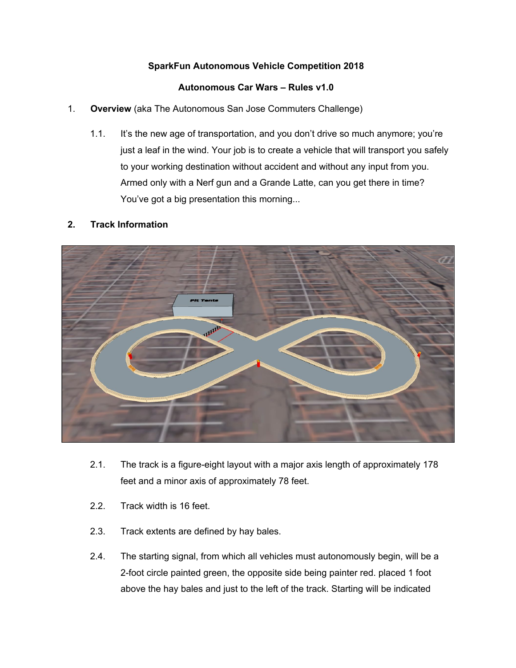# **SparkFun Autonomous Vehicle Competition 2018**

## **Autonomous Car Wars – Rules v1.0**

- 1. **Overview** (aka The Autonomous San Jose Commuters Challenge)
	- 1.1. It's the new age of transportation, and you don't drive so much anymore; you're just a leaf in the wind. Your job is to create a vehicle that will transport you safely to your working destination without accident and without any input from you. Armed only with a Nerf gun and a Grande Latte, can you get there in time? You've got a big presentation this morning...

## **2. Track Information**



- 2.1. The track is a figure-eight layout with a major axis length of approximately 178 feet and a minor axis of approximately 78 feet.
- 2.2. Track width is 16 feet.
- 2.3. Track extents are defined by hay bales.
- 2.4. The starting signal, from which all vehicles must autonomously begin, will be a 2-foot circle painted green, the opposite side being painter red. placed 1 foot above the hay bales and just to the left of the track. Starting will be indicated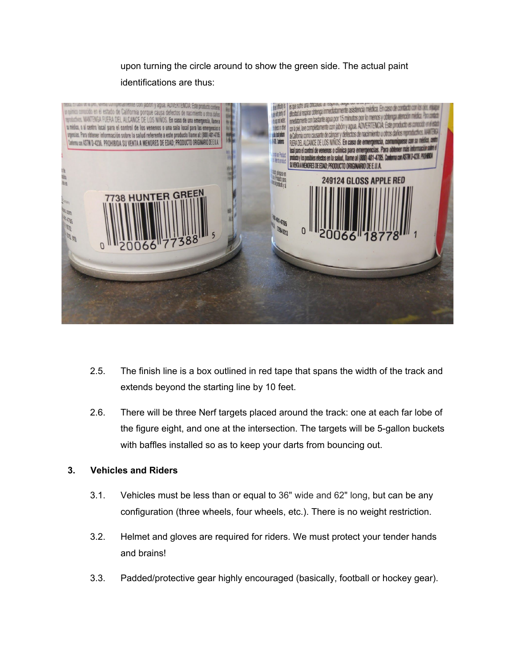upon turning the circle around to show the green side. The actual paint identifications are thus:



- 2.5. The finish line is a box outlined in red tape that spans the width of the track and extends beyond the starting line by 10 feet.
- 2.6. There will be three Nerf targets placed around the track: one at each far lobe of the figure eight, and one at the intersection. The targets will be 5-gallon buckets with baffles installed so as to keep your darts from bouncing out.

#### **3. Vehicles and Riders**

- 3.1. Vehicles must be less than or equal to 36" wide and 62" long, but can be any configuration (three wheels, four wheels, etc.). There is no weight restriction.
- 3.2. Helmet and gloves are required for riders. We must protect your tender hands and brains!
- 3.3. Padded/protective gear highly encouraged (basically, football or hockey gear).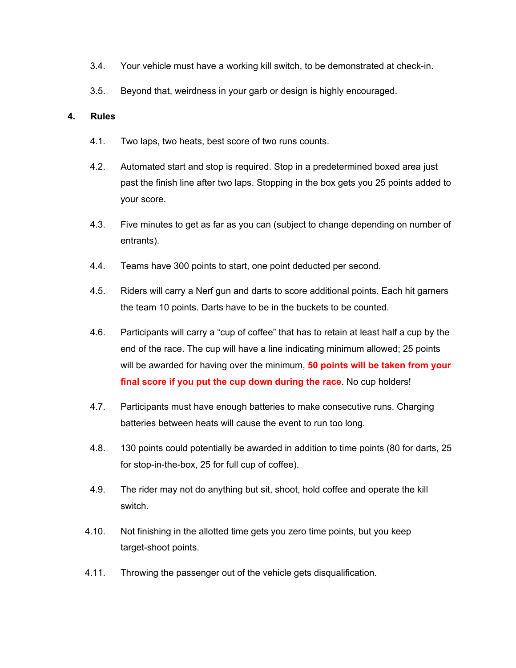- 3.4. Your vehicle must have a working kill switch, to be demonstrated at check-in.
- 3.5. Beyond that, weirdness in your garb or design is highly encouraged.

#### **4. Rules**

- 4.1. Two laps, two heats, best score of two runs counts.
- 4.2. Automated start and stop is required. Stop in a predetermined boxed area just past the finish line after two laps. Stopping in the box gets you 25 points added to your score.
- 4.3. Five minutes to get as far as you can (subject to change depending on number of entrants).
- 4.4. Teams have 300 points to start, one point deducted per second.
- 4.5. Riders will carry a Nerf gun and darts to score additional points. Each hit garners the team 10 points. Darts have to be in the buckets to be counted.
- 4.6. Participants will carry a "cup of coffee" that has to retain at least half a cup by the end of the race. The cup will have a line indicating minimum allowed; 25 points will be awarded for having over the minimum, **50 points will be taken from your final score if you put the cup down during the race**. No cup holders!
- 4.7. Participants must have enough batteries to make consecutive runs. Charging batteries between heats will cause the event to run too long.
- 4.8. 130 points could potentially be awarded in addition to time points (80 for darts, 25 for stop-in-the-box, 25 for full cup of coffee).
- 4.9. The rider may not do anything but sit, shoot, hold coffee and operate the kill switch.
- 4.10. Not finishing in the allotted time gets you zero time points, but you keep target-shoot points.
- 4.11. Throwing the passenger out of the vehicle gets disqualification.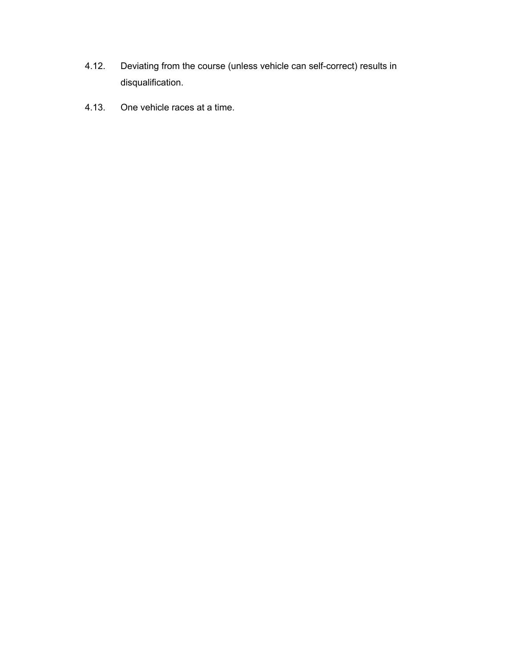- 4.12. Deviating from the course (unless vehicle can self-correct) results in disqualification.
- 4.13. One vehicle races at a time.